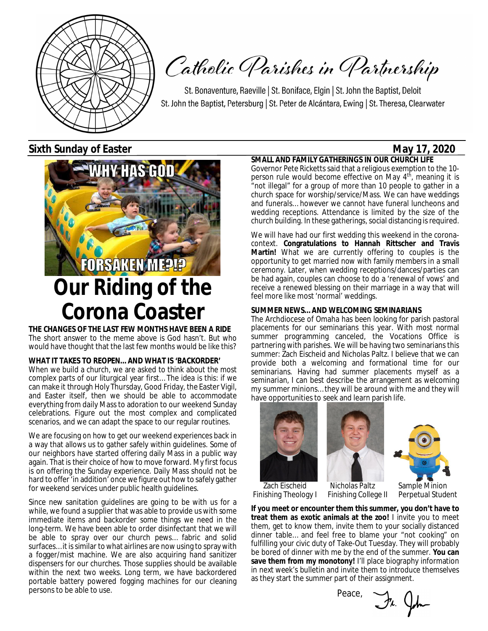

Catholic Parishes in Partnership

St. Bonaventure, Raeville | St. Boniface, Elgin | St. John the Baptist, Deloit St. John the Baptist, Petersburg | St. Peter de Alcántara, Ewing | St. Theresa, Clearwater

**Sixth Sunday of Easter May 17, 2020** 



**THE CHANGES OF THE LAST FEW MONTHS HAVE BEEN A RIDE** The short answer to the meme above is God hasn't. But who would have thought that the last few months would be like this?

**WHAT IT TAKES TO REOPEN… AND WHAT IS 'BACKORDER'** When we build a church, we are asked to think about the most complex parts of our liturgical year first… The idea is this: if we can make it through Holy Thursday, Good Friday, the Easter Vigil, and Easter itself, then we should be able to accommodate everything from daily Mass to adoration to our weekend Sunday celebrations. Figure out the most complex and complicated scenarios, and we can adapt the space to our regular routines.

We are focusing on how to get our weekend experiences back in a way that allows us to gather safely within guidelines. Some of our neighbors have started offering daily Mass in a public way again. That is their choice of how to move forward. My first focus is on offering the Sunday experience. Daily Mass should not be hard to offer 'in addition' once we figure out how to safely gather for weekend services under public health guidelines.

Since new sanitation guidelines are going to be with us for a while, we found a supplier that was able to provide us with some immediate items and backorder some things we need in the long-term. We have been able to order disinfectant that we will be able to spray over our church pews… fabric and solid surfaces… it is similar to what airlines are now using to spray with a fogger/mist machine. We are also acquiring hand sanitizer dispensers for our churches. Those supplies should be available within the next two weeks. Long term, we have backordered portable battery powered fogging machines for our cleaning persons to be able to use.

**SMALL AND FAMILY GATHERINGS IN OUR CHURCH LIFE** Governor Pete Ricketts said that a religious exemption to the 10 person rule would become effective on May 4<sup>th</sup>, meaning it is "not illegal" for a group of more than 10 people to gather in a church space for worship/service/Mass. We can have weddings and funerals… however we cannot have funeral luncheons and wedding receptions. Attendance is limited by the size of the church building. In these gatherings, social distancing is required.

We will have had our first wedding this weekend in the coronacontext. **Congratulations to Hannah Rittscher and Travis Martin!** What we are currently offering to couples is the opportunity to get married now with family members in a small ceremony. Later, when wedding receptions/dances/parties can be had again, couples can choose to do a 'renewal of vows' and receive a renewed blessing on their marriage in a way that will feel more like most 'normal' weddings.

#### **SUMMER NEWS… AND WELCOMING SEMINARIANS**

The Archdiocese of Omaha has been looking for parish pastoral placements for our seminarians this year. With most normal summer programming canceled, the Vocations Office is partnering with parishes. We will be having two seminarians this summer: Zach Eischeid and Nicholas Paltz. I believe that we can provide both a welcoming and formational time for our seminarians. Having had summer placements myself as a seminarian, I can best describe the arrangement as welcoming my summer minions… they will be around with me and they will have opportunities to seek and learn parish life.







Finishing College II

Zach Eischeid Micholas Paltz Sample Minion<br>Finishing Theology | Finishing College || Perpetual Student

**If you meet or encounter them this summer, you don't have to treat them as exotic animals at the zoo!** I invite you to meet them, get to know them, invite them to your socially distanced dinner table… and feel free to blame your "not cooking" on fulfilling your civic duty of Take-Out Tuesday. They will probably be bored of dinner with me by the end of the summer. **You can save them from my monotony!** I'll place biography information in next week's bulletin and invite them to introduce themselves as they start the summer part of their assignment.

Peace,

Fr. John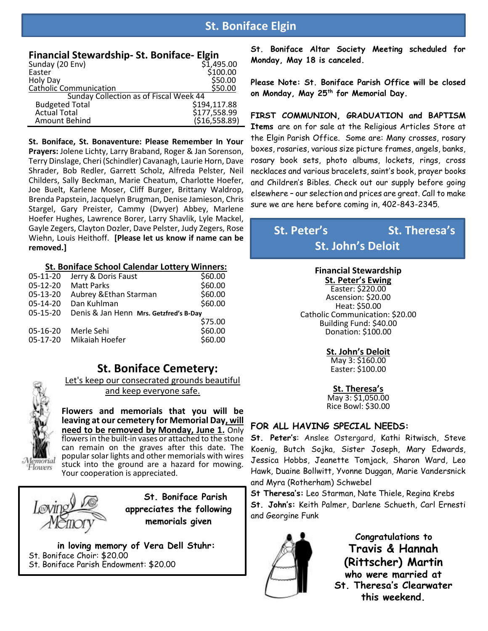### **St. Boniface Elgin**

| <b>Financial Stewardship- St. Boniface- Elgin</b> |  |
|---------------------------------------------------|--|
| - ' '-- -                                         |  |

| Sunday (20 Env)                        | \$1,495.00    |
|----------------------------------------|---------------|
| Easter                                 | \$100.00      |
| Holy Day                               | \$50.00       |
| <b>Catholic Communication</b>          | \$50.00       |
| Sunday Collection as of Fiscal Week 44 |               |
| <b>Budgeted Total</b>                  | \$194,117.88  |
| <b>Actual Total</b>                    | \$177,558.99  |
| Amount Behind                          | (\$16,558.89) |

**St. Boniface, St. Bonaventure: Please Remember In Your Prayers:** Jolene Lichty, Larry Braband, Roger & Jan Sorenson, Terry Dinslage, Cheri (Schindler) Cavanagh, Laurie Horn, Dave Shrader, Bob Redler, Garrett Scholz, Alfreda Pelster, Neil Childers, Sally Beckman, Marie Cheatum, Charlotte Hoefer, Joe Buelt, Karlene Moser, Cliff Burger, Brittany Waldrop, Brenda Papstein, Jacquelyn Brugman, Denise Jamieson, Chris Stargel, Gary Preister, Cammy (Dwyer) Abbey, Marlene Hoefer Hughes, Lawrence Borer, Larry Shavlik, Lyle Mackel, Gayle Zegers, Clayton Dozler, Dave Pelster, Judy Zegers, Rose Wiehn, Louis Heithoff. **[Please let us know if name can be removed.]**

#### **St. Boniface School Calendar Lottery Winners:**

| 05-11-20   | Jerry & Doris Faust                    | \$60.00 |
|------------|----------------------------------------|---------|
| 05-12-20   | <b>Matt Parks</b>                      | \$60.00 |
| 05-13-20   | Aubrey & Ethan Starman                 | \$60.00 |
| 05-14-20   | Dan Kuhlman                            | \$60.00 |
| $05-15-20$ | Denis & Jan Henn Mrs. Getzfred's B-Day |         |
|            |                                        | \$75.00 |
| 05-16-20   | Merle Sehi                             | \$60.00 |
| 05-17-20   |                                        |         |
|            | Mikaiah Hoefer                         | \$60.00 |

 **St. Boniface Cemetery:**

Let's keep our consecrated grounds beautiful and keep everyone safe.

**Flowers and memorials that you will be leaving at our cemetery for Memorial Day, will need to be removed by Monday, June 1.** Only flowers in the built-in vases or attached to the stone can remain on the graves after this date. The popular solar lights and other memorials with wires stuck into the ground are a hazard for mowing. Your cooperation is appreciated.

Memorial Flowers

> **St. Boniface Parish appreciates the following memorials given**

**in loving memory of Vera Dell Stuhr:** St. Boniface Choir: \$20.00 St. Boniface Parish Endowment: \$20.00

**St. Boniface Altar Society Meeting scheduled for Monday, May 18 is canceled.** 

**Please Note: St. Boniface Parish Office will be closed on Monday, May 25th for Memorial Day.** 

**FIRST COMMUNION, GRADUATION and BAPTISM Items** are on for sale at the Religious Articles Store at the Elgin Parish Office. Some are: Many crosses, rosary boxes, rosaries, various size picture frames, angels, banks, rosary book sets, photo albums, lockets, rings, cross necklaces and various bracelets, saint's book, prayer books and Children's Bibles. Check out our supply before going elsewhere – our selection and prices are great. Call to make sure we are here before coming in, 402-843-2345.

## **St. Peter's** St. Theresa's **St. John's Deloit**

#### **Financial Stewardship**

**St. Peter's Ewing**

Easter: \$220.00 Ascension: \$20.00 Heat: \$50.00 Catholic Communication: \$20.00 Building Fund: \$40.00 Donation: \$100.00

#### **St. John's Deloit**

May 3: \$160.00 Easter: \$100.00

**St. Theresa's** May 3: \$1,050.00 Rice Bowl: \$30.00

#### **FOR ALL HAVING SPECIAL NEEDS:**

**St. Peter's**: Anslee Ostergard, Kathi Ritwisch, Steve Koenig, Butch Sojka, Sister Joseph, Mary Edwards, Jessica Hobbs, Jeanette Tomjack, Sharon Ward, Leo Hawk, Duaine Bollwitt, Yvonne Duggan, Marie Vandersnick and Myra (Rotherham) Schwebel

**St Theresa's:** Leo Starman, Nate Thiele, Regina Krebs **St. John's:** Keith Palmer, Darlene Schueth, Carl Ernesti and Georgine Funk



 **Congratulations to Travis & Hannah (Rittscher) Martin who were married at St. Theresa's Clearwater this weekend.**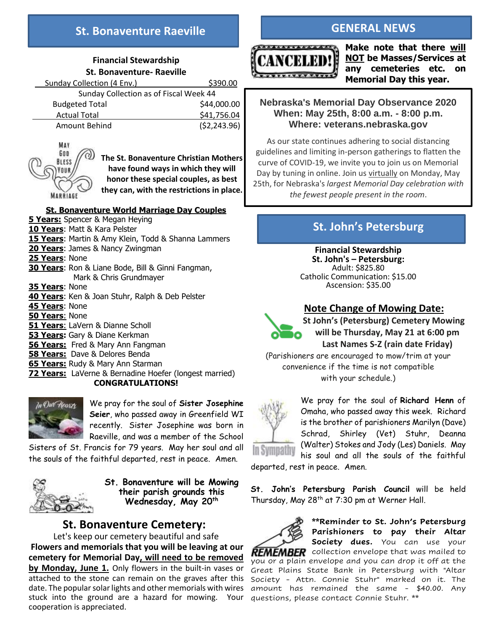### **St. Bonaventure Raeville**

#### **Financial Stewardship St. Bonaventure- Raeville**

| Sunday Collection (4 Env.)             | \$390.00     |
|----------------------------------------|--------------|
| Sunday Collection as of Fiscal Week 44 |              |
| <b>Budgeted Total</b>                  | \$44,000.00  |
| <b>Actual Total</b>                    | \$41,756.04  |
| Amount Behind                          | (52, 243.96) |



**The St. Bonaventure Christian Mothers have found ways in which they will honor these special couples, as best they can, with the restrictions in place.**

#### **St. Bonaventure World Marriage Day Couples**

**5 Years:** Spencer & Megan Heying **10 Years**: Matt & Kara Pelster **15 Years**: Martin & Amy Klein, Todd & Shanna Lammers **20 Years**: James & Nancy Zwingman **25 Years**: None **30 Years**: Ron & Liane Bode, Bill & Ginni Fangman, Mark & Chris Grundmayer **35 Years**: None **40 Years**: Ken & Joan Stuhr, Ralph & Deb Pelster **45 Years**: None **50 Years**: None **51 Years**: LaVern & Dianne Scholl **53 Years:** Gary & Diane Kerkman **56 Years:** Fred & Mary Ann Fangman **58 Years:** Dave & Delores Benda **65 Years:** Rudy & Mary Ann Starman **72 Years:** LaVerne & Bernadine Hoefer (longest married) **CONGRATULATIONS!** 



We pray for the soul of **Sister Josephine Seier**, who passed away in Greenfield WI recently. Sister Josephine was born in Raeville, and was a member of the School

Sisters of St. Francis for 79 years. May her soul and all the souls of the faithful departed, rest in peace. Amen.



**St. Bonaventure will be Mowing their parish grounds this Wednesday, May 20th**

### **St. Bonaventure Cemetery:**

Let's keep our cemetery beautiful and safe **Flowers and memorials that you will be leaving at our cemetery for Memorial Day, will need to be removed by Monday, June 1.** Only flowers in the built-in vases or attached to the stone can remain on the graves after this date. The popular solar lights and other memorials with wires stuck into the ground are a hazard for mowing. Your questions, please contact Connie Stuhr. \*\* cooperation is appreciated.

### **GENERAL NEWS**



**Make note that there will NOT be Masses/Services at any cemeteries etc. on Memorial Day this year.**

### **Nebraska's Memorial Day Observance 2020 When: May 25th, 8:00 a.m. - 8:00 p.m. Where: veterans.nebraska.gov**

As our state continues adhering to social distancing guidelines and limiting in-person gatherings to flatten the curve of COVID-19, we invite you to join us on Memorial Day by tuning in online. Join us virtually on Monday, May 25th, for Nebraska's *largest Memorial Day celebration with the fewest people present in the room*.

### **St. John's Petersburg**

 **Financial Stewardship St. John's – Petersburg:** Adult: \$825.80 Catholic Communication: \$15.00 Ascension: \$35.00

### **Note Change of Mowing Date:**



**St John's (Petersburg) Cemetery Mowing will be Thursday, May 21 at 6:00 pm Last Names S-Z (rain date Friday)**

(Parishioners are encouraged to mow/trim at your convenience if the time is not compatible with your schedule.)



We pray for the soul of **Richard Henn** of Omaha, who passed away this week. Richard is the brother of parishioners Marilyn (Dave) Schrad, Shirley (Vet) Stuhr, Deanna (Walter) Stokes and Jody (Les) Daniels. May his soul and all the souls of the faithful

departed, rest in peace. Amen.

**St. John's Petersburg Parish Council** will be held Thursday, May 28<sup>th</sup> at 7:30 pm at Werner Hall.



**\*\*Reminder to St. John's Petersburg Parishioners to pay their Altar Society dues.** You can use your **REMEMBER** collection envelope that was mailed to you or a plain envelope and you can drop it off at the

Great Plains State Bank in Petersburg with "Altar Society - Attn. Connie Stuhr" marked on it. The amount has remained the same - \$40.00. Any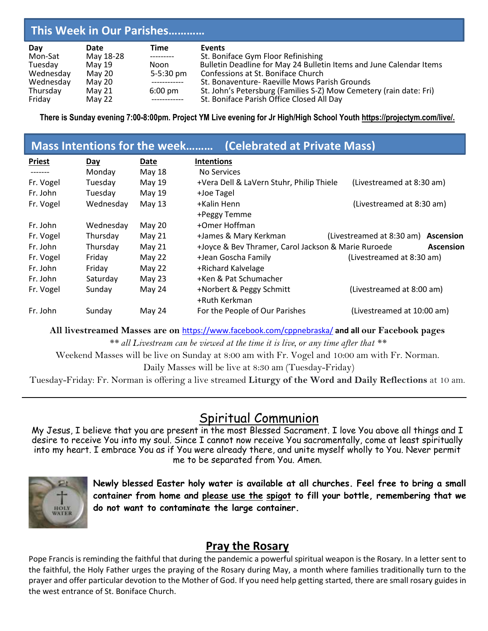#### **Day Date Time Events**  Mon-Sat May 18-28 --------- St. Boniface Gym Floor Refinishing<br>Tuesday May 19 - Noon Bulletin Deadline for May 24 Bullet May 19 Moon Bulletin Deadline for May 24 Bulletin Items and June Calendar Items<br>May 20 S-5:30 pm Confessions at St. Boniface Church Wednesday May 20 5-5:30 pm Confessions at St. Boniface Church<br>Wednesday May 20 ------------ St. Bonaventure- Raeville Mows Pa Wednesday May 20 ------------ St. Bonaventure- Raeville Mows Parish Grounds<br>Thursday May 21 6:00 pm St. John's Petersburg (Families S-Z) Mow Cemete Thursday May 21 6:00 pm St. John's Petersburg (Families S-Z) Mow Cemetery (rain date: Fri)<br>Friday May 22 ------------ St. Boniface Parish Office Closed All Day St. Boniface Parish Office Closed All Day **This Week in Our Parishes…………**

**There is Sunday evening 7:00-8:00pm. Project YM Live evening for Jr High/High School Youth https://projectym.com/live/.**

|               |           | Mass Intentions for the week | (Celebrated at Private Mass)                        |                                     |
|---------------|-----------|------------------------------|-----------------------------------------------------|-------------------------------------|
| <b>Priest</b> | Day       | <b>Date</b>                  | <b>Intentions</b>                                   |                                     |
| -------       | Monday    | May 18                       | No Services                                         |                                     |
| Fr. Vogel     | Tuesday   | May 19                       | +Vera Dell & LaVern Stuhr, Philip Thiele            | (Livestreamed at 8:30 am)           |
| Fr. John      | Tuesday   | May 19                       | +Joe Tagel                                          |                                     |
| Fr. Vogel     | Wednesday | May 13                       | +Kalin Henn                                         | (Livestreamed at 8:30 am)           |
|               |           |                              | +Peggy Temme                                        |                                     |
| Fr. John      | Wednesday | May 20                       | +Omer Hoffman                                       |                                     |
| Fr. Vogel     | Thursday  | May 21                       | +James & Mary Kerkman                               | (Livestreamed at 8:30 am) Ascension |
| Fr. John      | Thursday  | May 21                       | +Joyce & Bev Thramer, Carol Jackson & Marie Ruroede | <b>Ascension</b>                    |
| Fr. Vogel     | Friday    | May 22                       | +Jean Goscha Family                                 | (Livestreamed at 8:30 am)           |
| Fr. John      | Friday    | May 22                       | +Richard Kalvelage                                  |                                     |
| Fr. John      | Saturday  | May 23                       | +Ken & Pat Schumacher                               |                                     |
| Fr. Vogel     | Sunday    | May 24                       | +Norbert & Peggy Schmitt                            | (Livestreamed at 8:00 am)           |
|               |           |                              | +Ruth Kerkman                                       |                                     |
| Fr. John      | Sunday    | May 24                       | For the People of Our Parishes                      | (Livestreamed at 10:00 am)          |

**All livestreamed Masses are on** <https://www.facebook.com/cppnebraska/> **and all our Facebook pages**

*\*\* all Livestream can be viewed at the time it is live, or any time after that \*\**

Weekend Masses will be live on Sunday at 8:00 am with Fr. Vogel and 10:00 am with Fr. Norman.

Daily Masses will be live at 8:30 am (Tuesday-Friday)

Tuesday-Friday: Fr. Norman is offering a live streamed **Liturgy of the Word and Daily Reflections** at 10 am.

## Spiritual Communion

My Jesus, I believe that you are present in the most Blessed Sacrament. I love You above all things and I desire to receive You into my soul. Since I cannot now receive You sacramentally, come at least spiritually into my heart. I embrace You as if You were already there, and unite myself wholly to You. Never permit me to be separated from You. Amen.



**Newly blessed Easter holy water is available at all churches. Feel free to bring a small container from home and please use the spigot to fill your bottle, remembering that we do not want to contaminate the large container.**

### **Pray the Rosary**

Pope Francis is reminding the faithful that during the pandemic a powerful spiritual weapon is the Rosary. In a letter sent to the faithful, the Holy Father urges the praying of the Rosary during May, a month where families traditionally turn to the prayer and offer particular devotion to the Mother of God. If you need help getting started, there are small rosary guides in the west entrance of St. Boniface Church.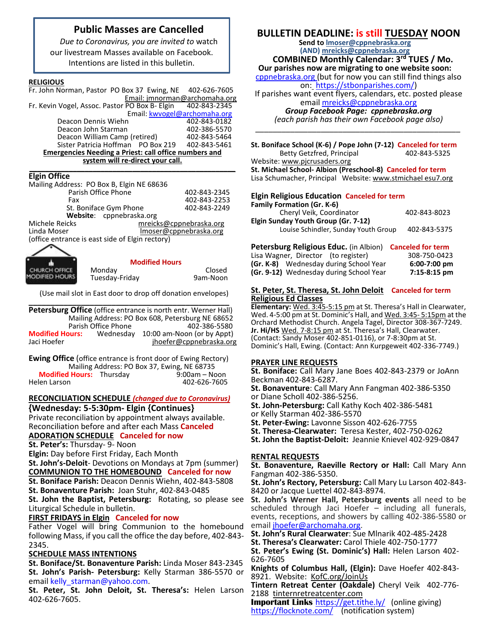### **Public Masses are Cancelled**

*Due to Coronavirus, you are invited to* watch our livestream Masses available on Facebook. Intentions are listed in this bulletin.

#### **RELIGIOUS**

Fr. John Norman, Pastor PO Box 37 Ewing, NE 402-626-7605 Email: jmnorman@archomaha.org<br>PO Box B- Elgin 402-843-2345 Fr. Kevin Vogel, Assoc. Pastor PO Box B- Elgin

Email: [kwvogel@archomaha.org](mailto:kwvogel@archomaha.org)

| <b>Emergencies Needing a Priest: call office numbers and</b> |  |                                     |
|--------------------------------------------------------------|--|-------------------------------------|
| Sister Patricia Hoffman PO Box 219                           |  | 402-843-5461                        |
| Deacon William Camp (retired)                                |  | 402-843-5464                        |
| Deacon John Starman                                          |  | 402-386-5570                        |
| Deacon Dennis Wiehn                                          |  | 402-843-0182                        |
|                                                              |  | <b>LINGH KWVOLCIWGICHOINGHOLOIS</b> |

#### **system will re-direct your call. \_\_\_\_\_\_\_\_\_\_\_\_\_\_\_\_\_\_\_\_\_\_\_\_\_\_\_\_\_\_\_\_\_\_\_\_\_\_\_\_\_\_\_\_\_\_\_\_\_\_\_\_**

#### **Elgin Office**

| Mailing Address: PO Box B, Elgin NE 68636       |                         |  |
|-------------------------------------------------|-------------------------|--|
| Parish Office Phone                             | 402-843-2345            |  |
| Fax                                             | 402-843-2253            |  |
| St. Boniface Gym Phone                          | 402-843-2249            |  |
| Website: cppnebraska.org                        |                         |  |
| Michele Reicks                                  | mreicks@cppnebraska.org |  |
| Linda Moser                                     | Imoser@cppnebraska.org  |  |
| (office entrance is east side of Elgin rectory) |                         |  |
|                                                 |                         |  |



#### **Modified Hours**

Monday Closed

(Use mail slot in East door to drop off donation envelopes)

Tuesday-Friday

|                                                  |                     | Petersburg Office (office entrance is north entr. Werner Hall) |
|--------------------------------------------------|---------------------|----------------------------------------------------------------|
| Mailing Address: PO Box 608, Petersburg NE 68652 |                     |                                                                |
|                                                  | Parish Office Phone | 402-386-5580                                                   |
| <b>Modified Hours:</b><br>Jaci Hoefer            | Wednesday           | 10:00 am-Noon (or by Appt)<br>jhoefer@cppnebraska.org          |

**Ewing Office** (office entrance is front door of Ewing Rectory) Mailing Address: PO Box 37, Ewing, NE 68735<br>**Hours:** Thursday 9:00am – Noon **Modified Hours:** Thursday Helen Larson 402-626-7605

#### **RECONCILIATION SCHEDULE** *(changed due to Coronavirus)* **{Wednesday: 5-5:30pm- Elgin {Continues}**

Private reconciliation by appointment always available. Reconciliation before and after each Mass **Canceled ADORATION SCHEDULE Canceled for now**

**St. Peter's:** Thursday- 9- Noon

**Elgin:** Day before First Friday, Each Month

**St. John's-Deloit**- Devotions on Mondays at 7pm (summer)

**COMMUNION TO THE HOMEBOUND Canceled for now**

**St. Boniface Parish:** Deacon Dennis Wiehn, 402-843-5808

**St. Bonaventure Parish:** Joan Stuhr, 402-843-0485

**St. John the Baptist, Petersburg:** Rotating, so please see Liturgical Schedule in bulletin.

#### **FIRST FRIDAYS in Elgin Canceled for now**

Father Vogel will bring Communion to the homebound following Mass, if you call the office the day before, 402-843- 2345.

#### **SCHEDULE MASS INTENTIONS**

**St. Boniface/St. Bonaventure Parish:** Linda Moser 843-2345 **St. John's Parish- Petersburg:** Kelly Starman 386-5570 or email kelly starman@yahoo.com.

**St. Peter, St. John Deloit, St. Theresa's:** Helen Larson 402-626-7605.

### **BULLETIN DEADLINE: is still TUESDAY NOON**

**Send to [lmoser@cppnebraska.org](mailto:lmoser@cppnebraska.org%20%20%20%20%20%20%20%20%20%20%20%20stbonparishes.com)  (AND) mreicks@cppnebraska.org** 

 **COMBINED Monthly Calendar: 3rd TUES / Mo.** 

**Our parishes now are migrating to one website soon:** cppnebraska.org (but for now you can still find things also

on: [https://stbonparishes.com/\)](https://stbonparishes.com/)

If parishes want event flyers, calendars, etc. posted please email [mreicks@cppnebraska.org](mailto:mreicks@cppnebraska.org%20%20%20%20%20%20%20%20%20%20%20%20%20%20%20%20%20%20%20%20%20%20%20stbonparishes.com) 

#### *Group Facebook Page: cppnebraska.org*

*(each parish has their own Facebook page also) \_\_\_\_\_\_\_\_\_\_\_\_\_\_\_\_\_\_\_\_\_\_\_\_\_\_\_\_\_\_\_\_\_\_\_\_\_\_\_\_\_\_\_\_\_\_\_*

**St. Boniface School (K-6) / Pope John (7-12) Canceled for term** Betty Getzfred, Principal Website: [www.pjcrusaders.org](http://www.pjcrusaders.org/)

**St. Michael School- Albion (Preschool-8) Canceled for term** Lisa Schumacher, Principal Website: www.stmichael esu7.org

#### **Elgin Religious Education Canceled for term**

| <b>Family Formation (Gr. K-6)</b>    |              |
|--------------------------------------|--------------|
| Cheryl Veik, Coordinator             | 402-843-8023 |
| Elgin Sunday Youth Group (Gr. 7-12)  |              |
| Louise Schindler, Sunday Youth Group | 402-843-5375 |
|                                      |              |

| Petersburg Religious Educ. (in Albion) Canceled for term |                |
|----------------------------------------------------------|----------------|
| Lisa Wagner, Director (to register)                      | 308-750-0423   |
| (Gr. K-8) Wednesday during School Year                   | $6:00-7:00$ pm |
| (Gr. 9-12) Wednesday during School Year                  | $7:15-8:15$ pm |

#### **St. Peter, St. Theresa, St. John Deloit Canceled for term Religious Ed Classes**

**Elementary:** Wed. 3:45-5:15 pm at St. Theresa's Hall in Clearwater, Wed. 4-5:00 pm at St. Dominic's Hall, and Wed. 3:45- 5:15pm at the Orchard Methodist Church. Angela Tagel, Director 308-367-7249. **Jr. Hi/HS** Wed. 7-8:15 pm at St. Theresa's Hall, Clearwater. (Contact: Sandy Moser 402-851-0116), or 7-8:30pm at St. Dominic's Hall, Ewing. (Contact: Ann Kurpgeweit 402-336-7749.)

#### **PRAYER LINE REQUESTS**

**St. Boniface:** Call Mary Jane Boes 402-843-2379 or JoAnn Beckman 402-843-6287.

**St. Bonaventure**: Call Mary Ann Fangman 402-386-5350 or Diane Scholl 402-386-5256.

**St. John-Petersburg:** Call Kathy Koch 402-386-5481

- or Kelly Starman 402-386-5570
- **St. Peter-Ewing:** Lavonne Sisson 402-626-7755
- **St. Theresa-Clearwater:** Teresa Kester, 402-750-0262
- **St. John the Baptist-Deloit:** Jeannie Knievel 402-929-0847

#### **RENTAL REQUESTS**

**St. Bonaventure, Raeville Rectory or Hall:** Call Mary Ann Fangman 402-386-5350.

**St. John's Rectory, Petersburg:** Call Mary Lu Larson 402-843- 8420 or Jacque Luettel 402-843-8974.

**St. John's Werner Hall, Petersburg events** all need to be scheduled through Jaci Hoefer – including all funerals, events, receptions, and showers by calling 402-386-5580 or email [jhoefer@archomaha.org.](mailto:jhoefer@archomaha.org)

**St. John's Rural Clearwater**: Sue Mlnarik 402-485-2428

**St. Theresa's Clearwater:** Carol Thiele 402-750-1777

**St. Peter's Ewing (St. Dominic's) Hall:** Helen Larson 402- 626-7605

**Knights of Columbus Hall, (Elgin):** Dave Hoefer 402-843- 8921. Website: KofC.org/JoinUs

**Tintern Retreat Center (Oakdale)** Cheryl Veik 402-776- 2188 tinternretreatcenter.com

**Important Links** <https://get.tithe.ly/>(online giving) <https://flocknote.com/>(notification system)